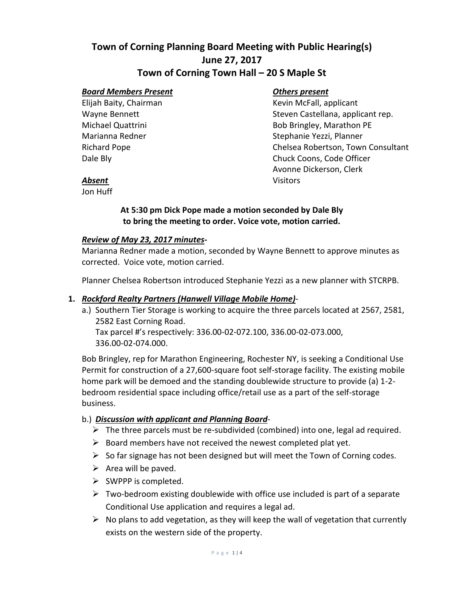# **Town of Corning Planning Board Meeting with Public Hearing(s) June 27, 2017**

## **Town of Corning Town Hall – 20 S Maple St**

#### *Board Members Present Others present*

Elijah Baity, Chairman Kevin McFall, applicant Wayne Bennett Steven Castellana, applicant rep. Michael Quattrini **Bob Bringley, Marathon PE** Marianna Redner Stephanie Yezzi, Planner Richard Pope Chelsea Robertson, Town Consultant Dale Bly **Chuck Coons, Code Officer** Avonne Dickerson, Clerk **Absent** Visitors

Jon Huff

#### **At 5:30 pm Dick Pope made a motion seconded by Dale Bly to bring the meeting to order. Voice vote, motion carried.**

#### *Review of May 23, 2017 minutes***-**

Marianna Redner made a motion, seconded by Wayne Bennett to approve minutes as corrected. Voice vote, motion carried.

Planner Chelsea Robertson introduced Stephanie Yezzi as a new planner with STCRPB.

#### **1.** *Rockford Realty Partners (Hanwell Village Mobile Home)*-

a.) Southern Tier Storage is working to acquire the three parcels located at 2567, 2581, 2582 East Corning Road. Tax parcel #'s respectively: 336.00-02-072.100, 336.00-02-073.000, 336.00-02-074.000.

Bob Bringley, rep for Marathon Engineering, Rochester NY, is seeking a Conditional Use Permit for construction of a 27,600-square foot self-storage facility. The existing mobile home park will be demoed and the standing doublewide structure to provide (a) 1-2 bedroom residential space including office/retail use as a part of the self-storage business.

#### b.) *Discussion with applicant and Planning Board*-

- $\triangleright$  The three parcels must be re-subdivided (combined) into one, legal ad required.
- $\triangleright$  Board members have not received the newest completed plat yet.
- $\triangleright$  So far signage has not been designed but will meet the Town of Corning codes.
- $\triangleright$  Area will be paved.
- ➢ SWPPP is completed.
- $\triangleright$  Two-bedroom existing doublewide with office use included is part of a separate Conditional Use application and requires a legal ad.
- $\triangleright$  No plans to add vegetation, as they will keep the wall of vegetation that currently exists on the western side of the property.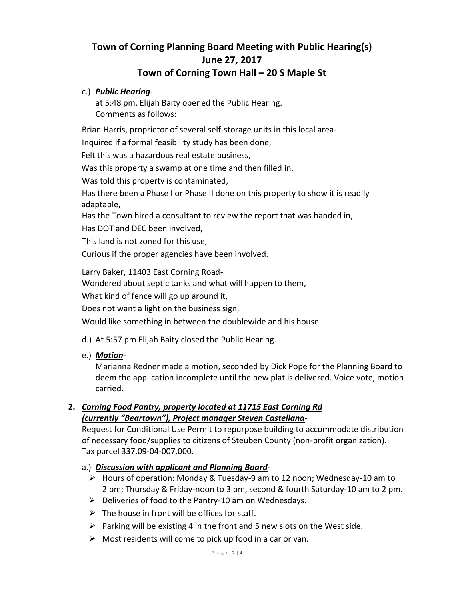# **Town of Corning Planning Board Meeting with Public Hearing(s) June 27, 2017**

# **Town of Corning Town Hall – 20 S Maple St**

### c.) *Public Hearing*-

at 5:48 pm, Elijah Baity opened the Public Hearing. Comments as follows:

Brian Harris, proprietor of several self-storage units in this local area-

Inquired if a formal feasibility study has been done,

Felt this was a hazardous real estate business,

Was this property a swamp at one time and then filled in,

Was told this property is contaminated,

Has there been a Phase I or Phase II done on this property to show it is readily adaptable,

Has the Town hired a consultant to review the report that was handed in,

Has DOT and DEC been involved,

This land is not zoned for this use,

Curious if the proper agencies have been involved.

Larry Baker, 11403 East Corning Road-

Wondered about septic tanks and what will happen to them,

What kind of fence will go up around it,

Does not want a light on the business sign,

Would like something in between the doublewide and his house.

- d.) At 5:57 pm Elijah Baity closed the Public Hearing.
- e.) *Motion*-

Marianna Redner made a motion, seconded by Dick Pope for the Planning Board to deem the application incomplete until the new plat is delivered. Voice vote, motion carried.

### **2.** *Corning Food Pantry, property located at 11715 East Corning Rd (currently "Beartown"), Project manager Steven Castellana-*

Request for Conditional Use Permit to repurpose building to accommodate distribution of necessary food/supplies to citizens of Steuben County (non-profit organization). Tax parcel 337.09-04-007.000.

### a.) *Discussion with applicant and Planning Board*-

- ➢ Hours of operation: Monday & Tuesday-9 am to 12 noon; Wednesday-10 am to 2 pm; Thursday & Friday-noon to 3 pm, second & fourth Saturday-10 am to 2 pm.
- ➢ Deliveries of food to the Pantry-10 am on Wednesdays.
- $\triangleright$  The house in front will be offices for staff.
- $\triangleright$  Parking will be existing 4 in the front and 5 new slots on the West side.
- $\triangleright$  Most residents will come to pick up food in a car or van.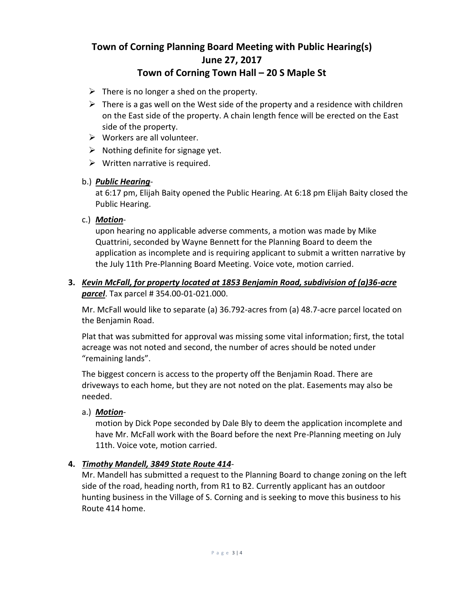# **Town of Corning Planning Board Meeting with Public Hearing(s) June 27, 2017 Town of Corning Town Hall – 20 S Maple St**

- $\triangleright$  There is no longer a shed on the property.
- $\triangleright$  There is a gas well on the West side of the property and a residence with children on the East side of the property. A chain length fence will be erected on the East side of the property.
- $\triangleright$  Workers are all volunteer.
- $\triangleright$  Nothing definite for signage yet.
- $\triangleright$  Written narrative is required.

#### b.) *Public Hearing*-

at 6:17 pm, Elijah Baity opened the Public Hearing. At 6:18 pm Elijah Baity closed the Public Hearing.

#### c.) *Motion*-

upon hearing no applicable adverse comments, a motion was made by Mike Quattrini, seconded by Wayne Bennett for the Planning Board to deem the application as incomplete and is requiring applicant to submit a written narrative by the July 11th Pre-Planning Board Meeting. Voice vote, motion carried.

#### **3.** *Kevin McFall, for property located at 1853 Benjamin Road, subdivision of (a)36-acre parcel*. Tax parcel # 354.00-01-021.000.

Mr. McFall would like to separate (a) 36.792-acres from (a) 48.7-acre parcel located on the Benjamin Road.

Plat that was submitted for approval was missing some vital information; first, the total acreage was not noted and second, the number of acres should be noted under "remaining lands".

The biggest concern is access to the property off the Benjamin Road. There are driveways to each home, but they are not noted on the plat. Easements may also be needed.

#### a.) *Motion-*

motion by Dick Pope seconded by Dale Bly to deem the application incomplete and have Mr. McFall work with the Board before the next Pre-Planning meeting on July 11th. Voice vote, motion carried.

#### **4.** *Timothy Mandell, 3849 State Route 414*-

Mr. Mandell has submitted a request to the Planning Board to change zoning on the left side of the road, heading north, from R1 to B2. Currently applicant has an outdoor hunting business in the Village of S. Corning and is seeking to move this business to his Route 414 home.